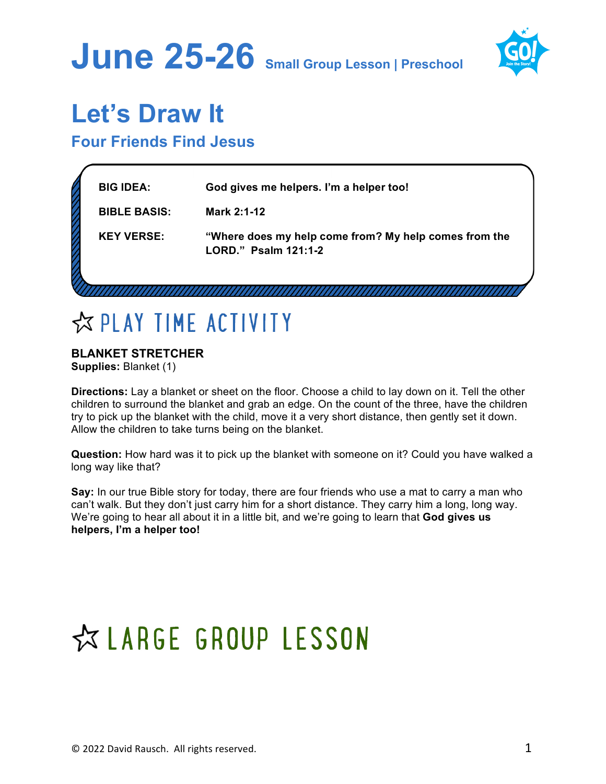



### **Let's Draw It**

### **Four Friends Find Jesus**

| <b>BIG IDEA:</b>    | God gives me helpers. I'm a helper too!                                       |
|---------------------|-------------------------------------------------------------------------------|
| <b>BIBLE BASIS:</b> | Mark 2:1-12                                                                   |
| <b>KEY VERSE:</b>   | "Where does my help come from? My help comes from the<br>LORD." Psalm 121:1-2 |
|                     |                                                                               |

### **EXPLAY TIME ACTIVITY**

### **BLANKET STRETCHER**

**Supplies:** Blanket (1)

**Directions:** Lay a blanket or sheet on the floor. Choose a child to lay down on it. Tell the other children to surround the blanket and grab an edge. On the count of the three, have the children try to pick up the blanket with the child, move it a very short distance, then gently set it down. Allow the children to take turns being on the blanket.

**Question:** How hard was it to pick up the blanket with someone on it? Could you have walked a long way like that?

**Say:** In our true Bible story for today, there are four friends who use a mat to carry a man who can't walk. But they don't just carry him for a short distance. They carry him a long, long way. We're going to hear all about it in a little bit, and we're going to learn that **God gives us helpers, I'm a helper too!**

# ☆ LARGE GROUP LESSON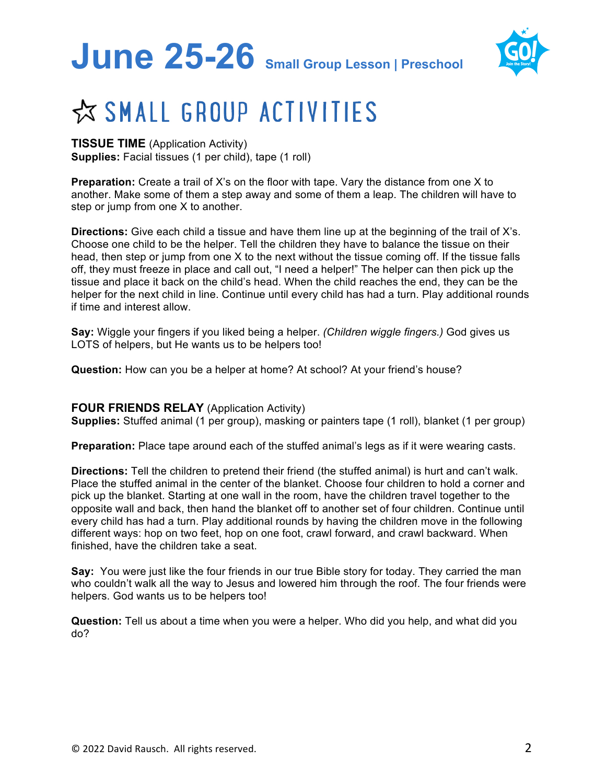# **June 25-26 Small Group Lesson | Preschool**



## ☆ SMALL GROUP ACTIVITIES

#### **TISSUE TIME** (Application Activity) **Supplies:** Facial tissues (1 per child), tape (1 roll)

**Preparation:** Create a trail of X's on the floor with tape. Vary the distance from one X to another. Make some of them a step away and some of them a leap. The children will have to step or jump from one X to another.

**Directions:** Give each child a tissue and have them line up at the beginning of the trail of X's. Choose one child to be the helper. Tell the children they have to balance the tissue on their head, then step or jump from one X to the next without the tissue coming off. If the tissue falls off, they must freeze in place and call out, "I need a helper!" The helper can then pick up the tissue and place it back on the child's head. When the child reaches the end, they can be the helper for the next child in line. Continue until every child has had a turn. Play additional rounds if time and interest allow.

**Say:** Wiggle your fingers if you liked being a helper. *(Children wiggle fingers.)* God gives us LOTS of helpers, but He wants us to be helpers too!

**Question:** How can you be a helper at home? At school? At your friend's house?

#### **FOUR FRIENDS RELAY** (Application Activity)

**Supplies:** Stuffed animal (1 per group), masking or painters tape (1 roll), blanket (1 per group)

**Preparation:** Place tape around each of the stuffed animal's legs as if it were wearing casts.

**Directions:** Tell the children to pretend their friend (the stuffed animal) is hurt and can't walk. Place the stuffed animal in the center of the blanket. Choose four children to hold a corner and pick up the blanket. Starting at one wall in the room, have the children travel together to the opposite wall and back, then hand the blanket off to another set of four children. Continue until every child has had a turn. Play additional rounds by having the children move in the following different ways: hop on two feet, hop on one foot, crawl forward, and crawl backward. When finished, have the children take a seat.

**Say:** You were just like the four friends in our true Bible story for today. They carried the man who couldn't walk all the way to Jesus and lowered him through the roof. The four friends were helpers. God wants us to be helpers too!

**Question:** Tell us about a time when you were a helper. Who did you help, and what did you do?